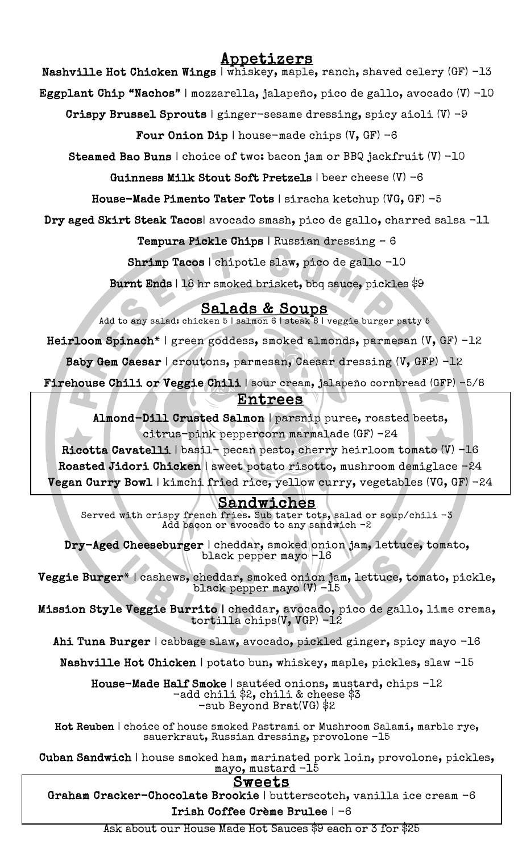# Appetizers

Nashville Hot Chicken Wings | whiskey, maple, ranch, shaved celery (GF) -13

Eggplant Chip "Nachos" | mozzarella, jalapeño, pico de gallo, avocado (V) -10

Crispy Brussel Sprouts | ginger-sesame dressing, spicy aioli (V) -9

Four Onion Dip | house-made chips  $(V, GF) -6$ 

Steamed Bao Buns | choice of two: bacon jam or BBQ jackfruit (V) -10

Guinness Milk Stout Soft Pretzels | beer cheese (V) -6

House-Made Pimento Tater Tots | siracha ketchup (VG, GF) -5

Dry aged Skirt Steak Tacos| avocado smash, pico de gallo, charred salsa -11

Tempura Pickle Chips | Russian dressing – 6

Shrimp Tacos | chipotle slaw, pico de gallo -10

Burnt Ends | 18 hr smoked brisket, bbq sauce, pickles \$9

 $Salds & Soups$ <br>Add to any salad: chicken 5 | salmon 6 | steak 8 | veggie burger patty 5

Heirloom Spinach\* | green goddess, smoked almonds, parmesan (V, GF) -12

Baby Gem Caesar | croutons, parmesan, Caesar dressing (V, GFP) -12

Firehouse Chili or Veggie Chili | sour cream, jalapeño cornbread (GFP) -5/8

## -<br>4 Entrees

 Almond-Dill Crusted Salmon | parsnip puree, roasted beets, citrus-pink peppercorn marmalade (GF) -24

 Ricotta Cavatelli | basil- pecan pesto, cherry heirloom tomato (V) -16 Roasted Jidori Chicken | sweet potato risotto, mushroom demiglace -24 Vegan Curry Bowl | kimchi fried rice, yellow curry, vegetables (VG, GF) -24

## Sandwiches

 $\frac{1}{2}$ đ Sandwiches Served with crispy french fries. Sub tater tots, salad or soup/chili -3 Add bacon or avocado to any sandwich -2

 Dry-Aged Cheeseburger | cheddar, smoked onion jam, lettuce, tomato, black pepper mayo -16

 Veggie Burger\* | cashews, cheddar, smoked onion jam, lettuce, tomato, pickle, black pepper mayo (V) -15

 Mission Style Veggie Burrito | cheddar, avocado, pico de gallo, lime crema, tortilla chips(V, VGP) -12

 $\overline{ }$ Ahi Tuna Burger | cabbage slaw, avocado, pickled ginger, spicy mayo -16

Nashville Hot Chicken | potato bun, whiskey, maple, pickles, slaw -15

House-Made Half Smoke | sautéed onions, mustard, chips  $-12$  -add chili \$2, chili & cheese \$3 -sub Beyond Brat(VG) \$2

 Hot Reuben | choice of house smoked Pastrami or Mushroom Salami, marble rye, sauerkraut, Russian dressing, provolone -15

 Cuban Sandwich | house smoked ham, marinated pork loin, provolone, pickles,  $\frac{\text{mayo, mustard } -15}{\text{O} \cdot \text{me} \cdot \text{O} \cdot \text{O}}$ 

Sweets<br>Graham Cracker-Chocolate Brookie | butterscotch, vanilla ice cream -6 Irish Coffee Crème Brulee | -6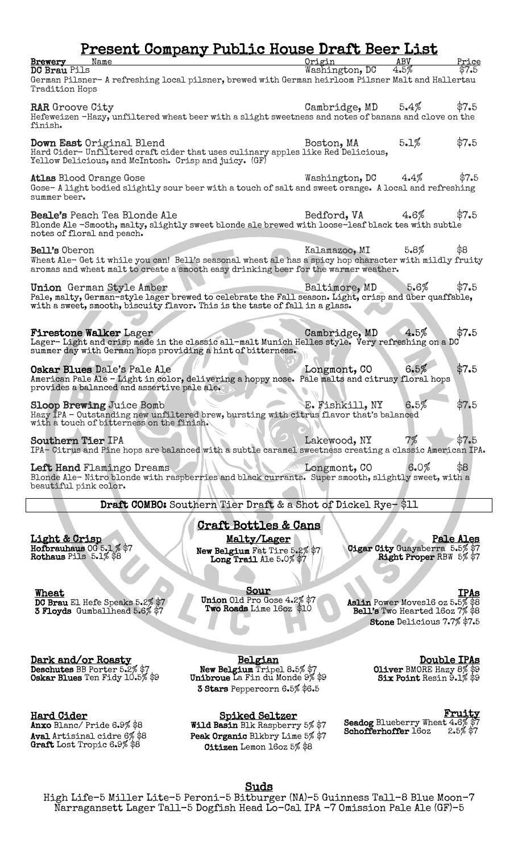## Present Company Public House Draft Beer List

| Name<br>Brewery<br>DC Brau Pils                                                                                                                                                                                   | Origin<br>Washington, DC | ABV<br>$4.5\%$                                            | Price<br>\$7.5 |
|-------------------------------------------------------------------------------------------------------------------------------------------------------------------------------------------------------------------|--------------------------|-----------------------------------------------------------|----------------|
| German Pilsner- A refreshing local pilsner, brewed with German heirloom Pilsner Malt and Hallertau<br>Tradition Hops                                                                                              |                          |                                                           |                |
| <b>RAR</b> Groove City<br>Hefeweizen -Hazy, unfiltered wheat beer with a slight sweetness and notes of banana and clove on the<br>finish.                                                                         | Cambridge, MD            | 5.4%                                                      | \$7.5          |
| Down East Original Blend<br>Hard Cider-Unfiltered craft cider that uses culinary apples like Red Delicious,<br>Yellow Delicious, and McIntosh. Crisp and juicy. (GF)                                              | Boston, MA               | 5.1%                                                      | \$7.5          |
| <b>Atlas Blood Orange Gose</b><br>Gose-A light bodied slightly sour beer with a touch of salt and sweet orange. A local and refreshing<br>summer beer.                                                            | Washington, DC           | 4.4%                                                      | \$7.5          |
| <b>Beale's</b> Peach Tea Blonde Ale<br>Blonde Ale -Smooth, malty, slightly sweet blonde ale brewed with loose-leaf black tea with subtle<br>notes of floral and peach.                                            | Bedford, VA              | 4.6%                                                      | \$7.5          |
| Bell's Oberon<br>Wheat Ale- Get it while you can! Bell's seasonal wheat ale has a spicy hop character with mildly fruity<br>aromas and wheat malt to create a smooth easy drinking beer for the warmer weather.   | Kalamazoo, MI            | 5.8%                                                      | \$8            |
| Union German Style Amber<br>Pale, malty, German-style lager brewed to celebrate the Fall season. Light, crisp and über quaffable,<br>with a sweet, smooth, biscuity flavor. This is the taste of fall in a glass. | Baltimore, MD            | 5.6%                                                      | \$7.5          |
| <b>Firestone Walker Lager</b><br>Lager-Light and crisp made in the classic all-malt Munich Helles style. Very refreshing on a DC<br>summer day with German hops providing a hint of bitterness.                   | Cambridge, MD            | 4.5%                                                      | \$7.5          |
| Oskar Blues Dale's Pale Ale<br>American Pale Ale - Light in color, delivering a hoppy nose. Pale malts and citrusy floral hops<br>provides a balanced and assertive pale ale.                                     | Longmont, CO             | 6.5%                                                      | \$7.5          |
| <b>Sloop Brewing Juice Bomb</b><br>Hazy IPA - Outstanding new unfiltered brew, bursting with citrus flavor that's balanced<br>with a touch of bitterness on the finish.                                           | E. Fishkill, NY          | 6.5%                                                      | \$7.5          |
| Southern Tier IPA<br>IPA- Citrus and Pine hops are balanced with a subtle caramel sweetness creating a classic American IPA.                                                                                      | Lakewood, NY             | 7%                                                        | \$7.5          |
| Left Hand Flamingo Dreams<br>Blonde Ale- Nitro blonde with raspberries and black currants. Super smooth, slightly sweet, with a<br>beautiful pink color.                                                          | Longmont, CO             | 6.0%                                                      | \$8            |
| Draft COMBO: Southern Tier Draft & a Shot of Dickel Rye-\$11                                                                                                                                                      |                          |                                                           |                |
| <u>Craft Bottles &amp; Cans</u>                                                                                                                                                                                   |                          |                                                           |                |
| Malty/Lager<br><u>Light &amp; Crisp</u><br>Hofbrauhaus 0G 5.1 $\%$ \$7<br>New Belgium Fat Tire 5.2% \$7<br>Rothaus Pils 5.1% \$8<br>Long Trail Ale 5.0% \$7                                                       |                          | Cigar City Guayaberra 5.5% \$7<br>Right Proper RBW 5% \$7 | Pale Ales      |

**Wheat**<br>DC Brau El Hefe Speaks 5.2% \$7<br>3 Floyds Gumballhead 5.6% \$7

Sour<br>Union Old Pro Gose 4.2% \$7 Two Roads Lime 16oz \$10

l

IPAs<br>Aslin Power Moves16 oz 5.5% \$8 Bell's Two Hearted 16oz 7% \$8 Stone Delicious 7.7% \$7.5

**Dark and/or Roasty<br>Deschutes** BB Porter 5.2% \$7

Oskar Blues Ten Fidy 10.5% \$9

Hard Cider

Anxo Blanc/ Pride 6.9% \$8 Aval Artisinal cidre 6% \$8<br>Graft Lost Tropic 6.9% \$8 Belgian<br>New Belgium Tripel 8.5% \$7<br>Unibroue La Fin du Monde 9% \$9 3 Stars Peppercorn 6.5% \$6.5

Spiked Seltzer<br>Wild Basin Blk Raspberry 5% \$7 Peak Organic Blkbry Lime 5% \$7 Citizen Lemon 16oz 5% \$8

**Double IPAs**<br>2% Oliver BMORE Hazy 8 Six Point Resin 9.1% \$9

**Fruity**<br>Seadog Blueberry Wheat 4.6% \$7<br>Schofferhoffer 16oz 2.5% \$7

Suds<br>High Life-5 Miller Lite-5 Peroni-5 Bitburger (NA)-5 Guinness Tall-8 Blue Moon-7 Narragansett Lager Tall–5 Dogfish Head Lo-Cal IPA -7 Omission Pale Ale (GF)-5